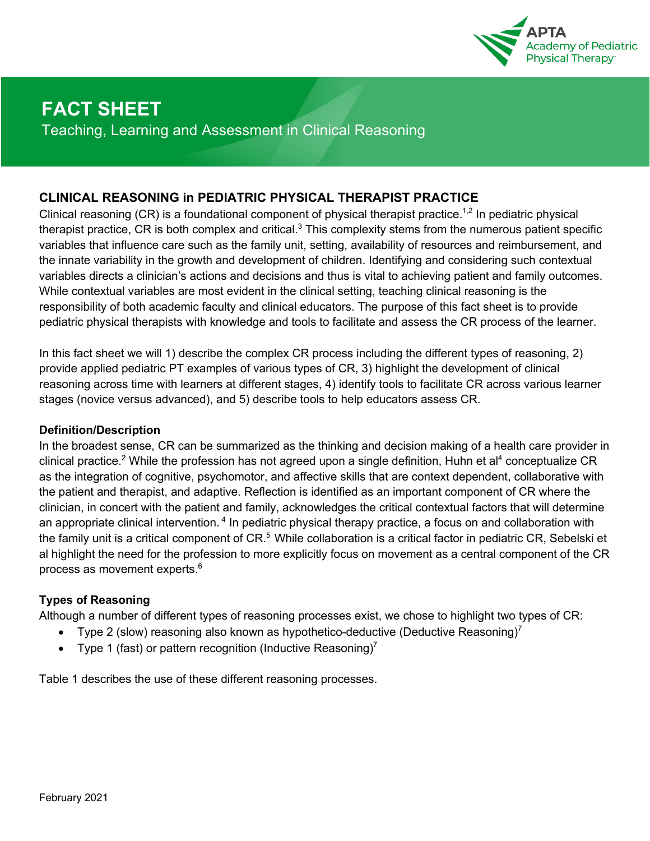

# **FACT SHEET**

Teaching, Learning and Assessment in Clinical Reasoning

### **CLINICAL REASONING in PEDIATRIC PHYSICAL THERAPIST PRACTICE**

Clinical reasoning  $(CR)$  is a foundational component of physical therapist practice.<sup>1,2</sup> In pediatric physical therapist practice, CR is both complex and critical. $3$  This complexity stems from the numerous patient specific variables that influence care such as the family unit, setting, availability of resources and reimbursement, and the innate variability in the growth and development of children. Identifying and considering such contextual variables directs a clinician's actions and decisions and thus is vital to achieving patient and family outcomes. While contextual variables are most evident in the clinical setting, teaching clinical reasoning is the responsibility of both academic faculty and clinical educators. The purpose of this fact sheet is to provide pediatric physical therapists with knowledge and tools to facilitate and assess the CR process of the learner.

In this fact sheet we will 1) describe the complex CR process including the different types of reasoning, 2) provide applied pediatric PT examples of various types of CR, 3) highlight the development of clinical reasoning across time with learners at different stages, 4) identify tools to facilitate CR across various learner stages (novice versus advanced), and 5) describe tools to help educators assess CR.

#### **Definition/Description**

In the broadest sense, CR can be summarized as the thinking and decision making of a health care provider in clinical practice.<sup>2</sup> While the profession has not agreed upon a single definition, Huhn et al<sup>4</sup> conceptualize CR as the integration of cognitive, psychomotor, and affective skills that are context dependent, collaborative with the patient and therapist, and adaptive. Reflection is identified as an important component of CR where the clinician, in concert with the patient and family, acknowledges the critical contextual factors that will determine an appropriate clinical intervention.<sup>4</sup> In pediatric physical therapy practice, a focus on and collaboration with the family unit is a critical component of CR.<sup>5</sup> While collaboration is a critical factor in pediatric CR, Sebelski et al highlight the need for the profession to more explicitly focus on movement as a central component of the CR process as movement experts. $^6$ 

### **Types of Reasoning**

Although a number of different types of reasoning processes exist, we chose to highlight two types of CR:

- Type 2 (slow) reasoning also known as hypothetico-deductive (Deductive Reasoning)<sup>7</sup>
- Type 1 (fast) or pattern recognition (Inductive Reasoning)<sup>7</sup>

Table 1 describes the use of these different reasoning processes.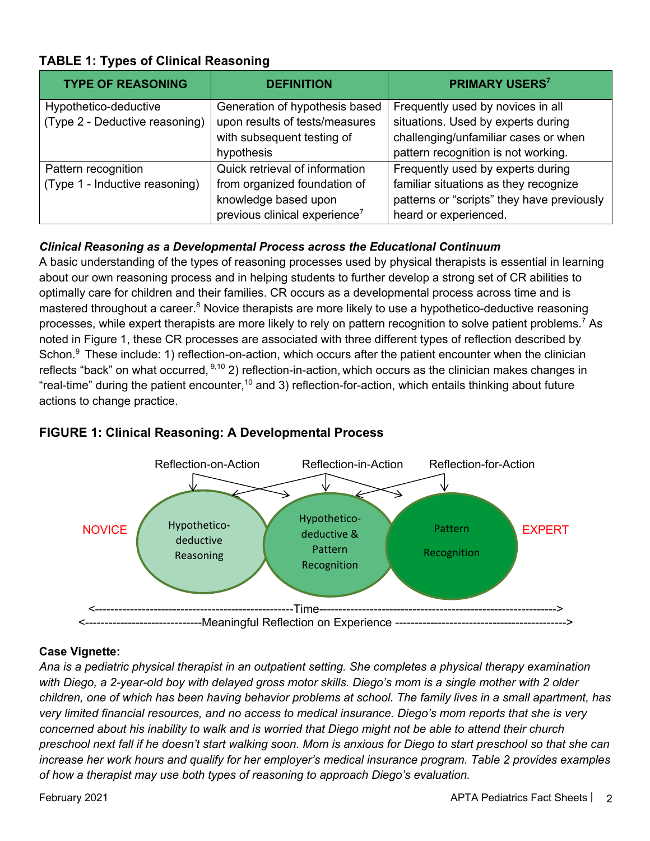| <b>TYPE OF REASONING</b>       | <b>DEFINITION</b>                         | <b>PRIMARY USERS</b> <sup>7</sup>          |
|--------------------------------|-------------------------------------------|--------------------------------------------|
| Hypothetico-deductive          | Generation of hypothesis based            | Frequently used by novices in all          |
| (Type 2 - Deductive reasoning) | upon results of tests/measures            | situations. Used by experts during         |
|                                | with subsequent testing of                | challenging/unfamiliar cases or when       |
|                                | hypothesis                                | pattern recognition is not working.        |
| Pattern recognition            | Quick retrieval of information            | Frequently used by experts during          |
| (Type 1 - Inductive reasoning) | from organized foundation of              | familiar situations as they recognize      |
|                                | knowledge based upon                      | patterns or "scripts" they have previously |
|                                | previous clinical experience <sup>7</sup> | heard or experienced.                      |

## **TABLE 1: Types of Clinical Reasoning**

### *Clinical Reasoning as a Developmental Process across the Educational Continuum*

A basic understanding of the types of reasoning processes used by physical therapists is essential in learning about our own reasoning process and in helping students to further develop a strong set of CR abilities to optimally care for children and their families. CR occurs as a developmental process across time and is mastered throughout a career.<sup>8</sup> Novice therapists are more likely to use a hypothetico-deductive reasoning processes, while expert therapists are more likely to rely on pattern recognition to solve patient problems.<sup>7</sup> As noted in Figure 1, these CR processes are associated with three different types of reflection described by Schon.<sup>9</sup> These include: 1) reflection-on-action, which occurs after the patient encounter when the clinician reflects "back" on what occurred, <sup>9,10</sup> 2) reflection-in-action, which occurs as the clinician makes changes in "real-time" during the patient encounter,<sup>10</sup> and 3) reflection-for-action, which entails thinking about future actions to change practice.



### **FIGURE 1: Clinical Reasoning: A Developmental Process**

#### **Case Vignette:**

*Ana is a pediatric physical therapist in an outpatient setting. She completes a physical therapy examination with Diego, a 2-year-old boy with delayed gross motor skills. Diego's mom is a single mother with 2 older children, one of which has been having behavior problems at school. The family lives in a small apartment, has very limited financial resources, and no access to medical insurance. Diego's mom reports that she is very concerned about his inability to walk and is worried that Diego might not be able to attend their church preschool next fall if he doesn't start walking soon. Mom is anxious for Diego to start preschool so that she can increase her work hours and qualify for her employer's medical insurance program. Table 2 provides examples of how a therapist may use both types of reasoning to approach Diego's evaluation.*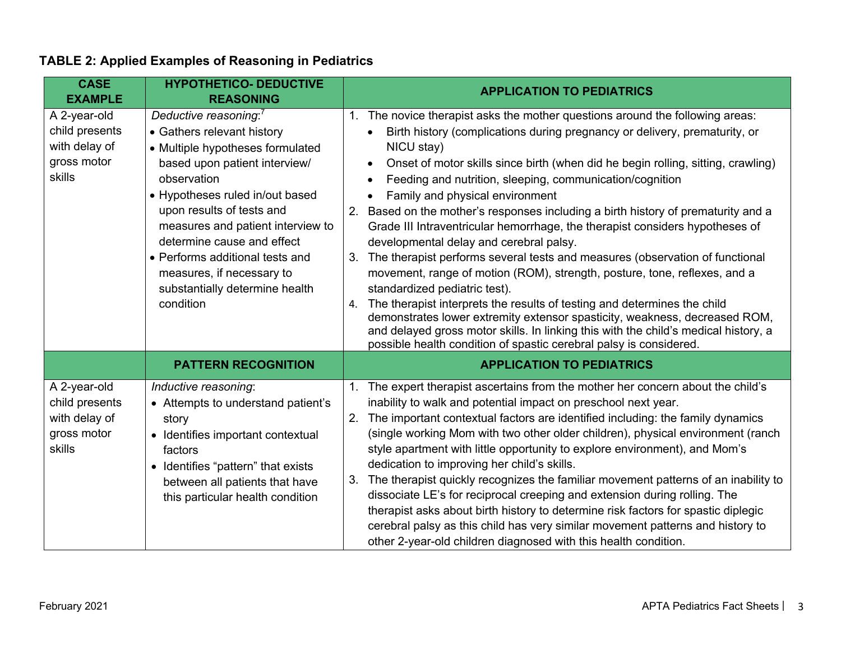| <b>CASE</b><br><b>EXAMPLE</b>                                            | <b>HYPOTHETICO- DEDUCTIVE</b><br><b>REASONING</b>                                                                                                                                                                                                                                                                                                                                                     | <b>APPLICATION TO PEDIATRICS</b>                                                                                                                                                                                                                                                                                                                                                                                                                                                                                                                                                                                                                                                                                                                                                                                                                                                                                                                                                                                                                                                                                              |
|--------------------------------------------------------------------------|-------------------------------------------------------------------------------------------------------------------------------------------------------------------------------------------------------------------------------------------------------------------------------------------------------------------------------------------------------------------------------------------------------|-------------------------------------------------------------------------------------------------------------------------------------------------------------------------------------------------------------------------------------------------------------------------------------------------------------------------------------------------------------------------------------------------------------------------------------------------------------------------------------------------------------------------------------------------------------------------------------------------------------------------------------------------------------------------------------------------------------------------------------------------------------------------------------------------------------------------------------------------------------------------------------------------------------------------------------------------------------------------------------------------------------------------------------------------------------------------------------------------------------------------------|
| A 2-year-old<br>child presents<br>with delay of<br>gross motor<br>skills | Deductive reasoning: <sup>7</sup><br>• Gathers relevant history<br>• Multiple hypotheses formulated<br>based upon patient interview/<br>observation<br>• Hypotheses ruled in/out based<br>upon results of tests and<br>measures and patient interview to<br>determine cause and effect<br>• Performs additional tests and<br>measures, if necessary to<br>substantially determine health<br>condition | 1. The novice therapist asks the mother questions around the following areas:<br>Birth history (complications during pregnancy or delivery, prematurity, or<br>NICU stay)<br>Onset of motor skills since birth (when did he begin rolling, sitting, crawling)<br>$\bullet$<br>Feeding and nutrition, sleeping, communication/cognition<br>Family and physical environment<br>Based on the mother's responses including a birth history of prematurity and a<br>2.<br>Grade III Intraventricular hemorrhage, the therapist considers hypotheses of<br>developmental delay and cerebral palsy.<br>The therapist performs several tests and measures (observation of functional<br>3.<br>movement, range of motion (ROM), strength, posture, tone, reflexes, and a<br>standardized pediatric test).<br>The therapist interprets the results of testing and determines the child<br>4.<br>demonstrates lower extremity extensor spasticity, weakness, decreased ROM,<br>and delayed gross motor skills. In linking this with the child's medical history, a<br>possible health condition of spastic cerebral palsy is considered. |
|                                                                          | <b>PATTERN RECOGNITION</b>                                                                                                                                                                                                                                                                                                                                                                            | <b>APPLICATION TO PEDIATRICS</b>                                                                                                                                                                                                                                                                                                                                                                                                                                                                                                                                                                                                                                                                                                                                                                                                                                                                                                                                                                                                                                                                                              |
| A 2-year-old<br>child presents<br>with delay of<br>gross motor<br>skills | Inductive reasoning:<br>• Attempts to understand patient's<br>story<br>• Identifies important contextual<br>factors<br>• Identifies "pattern" that exists<br>between all patients that have<br>this particular health condition                                                                                                                                                                       | The expert therapist ascertains from the mother her concern about the child's<br>1.<br>inability to walk and potential impact on preschool next year.<br>The important contextual factors are identified including: the family dynamics<br><sup>2.</sup><br>(single working Mom with two other older children), physical environment (ranch<br>style apartment with little opportunity to explore environment), and Mom's<br>dedication to improving her child's skills.<br>The therapist quickly recognizes the familiar movement patterns of an inability to<br>3.<br>dissociate LE's for reciprocal creeping and extension during rolling. The<br>therapist asks about birth history to determine risk factors for spastic diplegic<br>cerebral palsy as this child has very similar movement patterns and history to<br>other 2-year-old children diagnosed with this health condition.                                                                                                                                                                                                                                   |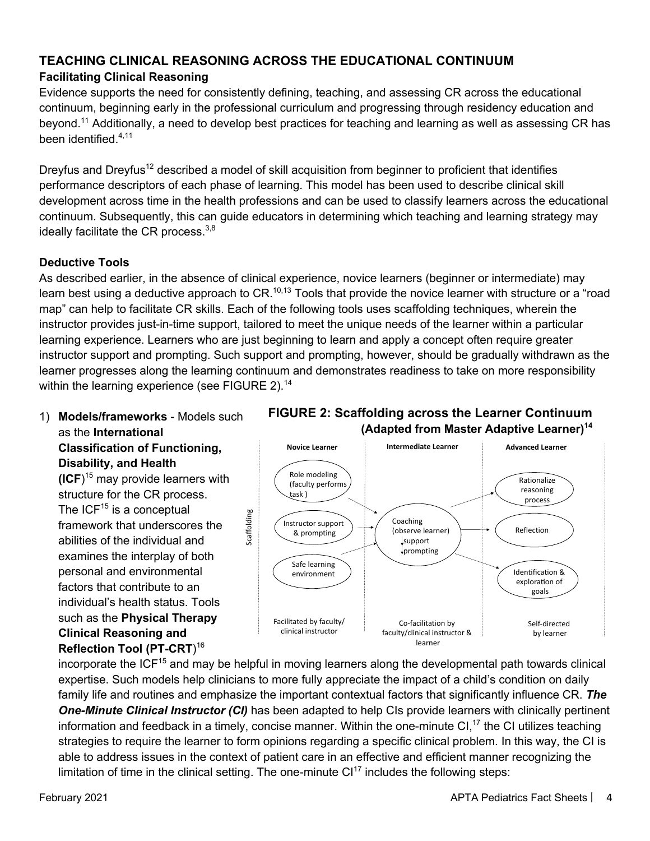## **TEACHING CLINICAL REASONING ACROSS THE EDUCATIONAL CONTINUUM**

## **Facilitating Clinical Reasoning**

Evidence supports the need for consistently defining, teaching, and assessing CR across the educational continuum, beginning early in the professional curriculum and progressing through residency education and bevond.<sup>11</sup> Additionally, a need to develop best practices for teaching and learning as well as assessing CR has been identified.4,11

Dreyfus and Dreyfus<sup>12</sup> described a model of skill acquisition from beginner to proficient that identifies performance descriptors of each phase of learning. This model has been used to describe clinical skill development across time in the health professions and can be used to classify learners across the educational continuum. Subsequently, this can guide educators in determining which teaching and learning strategy may ideally facilitate the CR process. $3,8$ 

## **Deductive Tools**

As described earlier, in the absence of clinical experience, novice learners (beginner or intermediate) may learn best using a deductive approach to CR.<sup>10,13</sup> Tools that provide the novice learner with structure or a "road map" can help to facilitate CR skills. Each of the following tools uses scaffolding techniques, wherein the instructor provides just-in-time support, tailored to meet the unique needs of the learner within a particular learning experience. Learners who are just beginning to learn and apply a concept often require greater instructor support and prompting. Such support and prompting, however, should be gradually withdrawn as the learner progresses along the learning continuum and demonstrates readiness to take on more responsibility within the learning experience (see FIGURE 2).<sup>14</sup>

1) **Models/frameworks** - Models such as the **International Classification of Functioning, Disability, and Health** 

**(ICF**) <sup>15</sup> may provide learners with structure for the CR process. The  $ICF<sup>15</sup>$  is a conceptual framework that underscores the abilities of the individual and examines the interplay of both personal and environmental factors that contribute to an individual's health status. Tools such as the **Physical Therapy Clinical Reasoning and Reflection Tool (PT-CRT**) 16





incorporate the ICF<sup>15</sup> and may be helpful in moving learners along the developmental path towards clinical expertise. Such models help clinicians to more fully appreciate the impact of a child's condition on daily family life and routines and emphasize the important contextual factors that significantly influence CR. *The One-Minute Clinical Instructor (CI)* has been adapted to help CIs provide learners with clinically pertinent information and feedback in a timely, concise manner. Within the one-minute CI,<sup>17</sup> the CI utilizes teaching strategies to require the learner to form opinions regarding a specific clinical problem. In this way, the CI is able to address issues in the context of patient care in an effective and efficient manner recognizing the limitation of time in the clinical setting. The one-minute  $Cl<sup>17</sup>$  includes the following steps: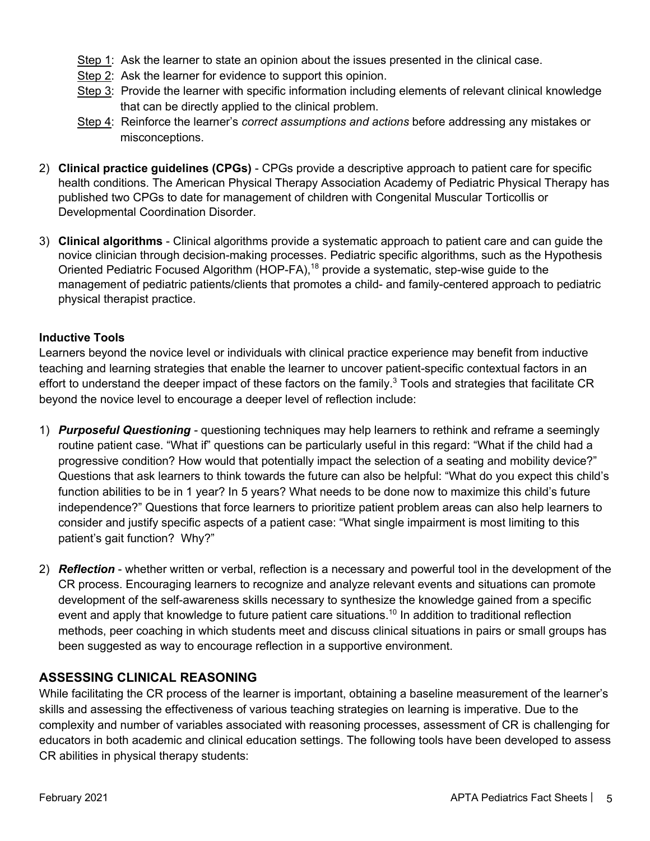- Step 1: Ask the learner to state an opinion about the issues presented in the clinical case.
- Step 2: Ask the learner for evidence to support this opinion.
- Step 3: Provide the learner with specific information including elements of relevant clinical knowledge that can be directly applied to the clinical problem.
- Step 4: Reinforce the learner's *correct assumptions and actions* before addressing any mistakes or misconceptions.
- 2) **Clinical practice guidelines (CPGs)** CPGs provide a descriptive approach to patient care for specific health conditions. The American Physical Therapy Association Academy of Pediatric Physical Therapy has published two CPGs to date for management of children with Congenital Muscular Torticollis or Developmental Coordination Disorder.
- 3) **Clinical algorithms** Clinical algorithms provide a systematic approach to patient care and can guide the novice clinician through decision-making processes. Pediatric specific algorithms, such as the Hypothesis Oriented Pediatric Focused Algorithm (HOP-FA),<sup>18</sup> provide a systematic, step-wise guide to the management of pediatric patients/clients that promotes a child- and family-centered approach to pediatric physical therapist practice.

### **Inductive Tools**

Learners beyond the novice level or individuals with clinical practice experience may benefit from inductive teaching and learning strategies that enable the learner to uncover patient-specific contextual factors in an effort to understand the deeper impact of these factors on the family.<sup>3</sup> Tools and strategies that facilitate CR beyond the novice level to encourage a deeper level of reflection include:

- 1) *Purposeful Questioning -* questioning techniques may help learners to rethink and reframe a seemingly routine patient case. "What if" questions can be particularly useful in this regard: "What if the child had a progressive condition? How would that potentially impact the selection of a seating and mobility device?" Questions that ask learners to think towards the future can also be helpful: "What do you expect this child's function abilities to be in 1 year? In 5 years? What needs to be done now to maximize this child's future independence?" Questions that force learners to prioritize patient problem areas can also help learners to consider and justify specific aspects of a patient case: "What single impairment is most limiting to this patient's gait function? Why?"
- 2) *Reflection* whether written or verbal, reflection is a necessary and powerful tool in the development of the CR process. Encouraging learners to recognize and analyze relevant events and situations can promote development of the self-awareness skills necessary to synthesize the knowledge gained from a specific event and apply that knowledge to future patient care situations.<sup>10</sup> In addition to traditional reflection methods, peer coaching in which students meet and discuss clinical situations in pairs or small groups has been suggested as way to encourage reflection in a supportive environment.

### **ASSESSING CLINICAL REASONING**

While facilitating the CR process of the learner is important, obtaining a baseline measurement of the learner's skills and assessing the effectiveness of various teaching strategies on learning is imperative. Due to the complexity and number of variables associated with reasoning processes, assessment of CR is challenging for educators in both academic and clinical education settings. The following tools have been developed to assess CR abilities in physical therapy students: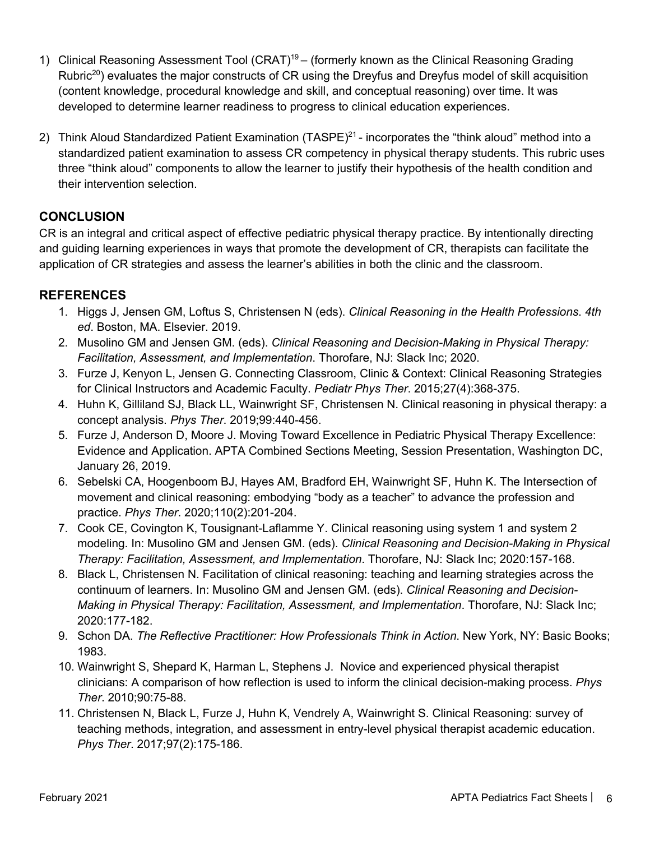- 1) Clinical Reasoning Assessment Tool (CRAT)<sup>19</sup> (formerly known as the Clinical Reasoning Grading Rubric<sup>20</sup>) evaluates the major constructs of CR using the Dreyfus and Dreyfus model of skill acquisition (content knowledge, procedural knowledge and skill, and conceptual reasoning) over time. It was developed to determine learner readiness to progress to clinical education experiences.
- 2) Think Aloud Standardized Patient Examination (TASPE)<sup>21</sup> incorporates the "think aloud" method into a standardized patient examination to assess CR competency in physical therapy students. This rubric uses three "think aloud" components to allow the learner to justify their hypothesis of the health condition and their intervention selection.

## **CONCLUSION**

CR is an integral and critical aspect of effective pediatric physical therapy practice. By intentionally directing and guiding learning experiences in ways that promote the development of CR, therapists can facilitate the application of CR strategies and assess the learner's abilities in both the clinic and the classroom.

## **REFERENCES**

- 1. Higgs J, Jensen GM, Loftus S, Christensen N (eds). *Clinical Reasoning in the Health Professions*. *4th ed*. Boston, MA. Elsevier. 2019.
- 2. Musolino GM and Jensen GM. (eds). *Clinical Reasoning and Decision-Making in Physical Therapy: Facilitation, Assessment, and Implementation*. Thorofare, NJ: Slack Inc; 2020.
- 3. Furze J, Kenyon L, Jensen G. Connecting Classroom, Clinic & Context: Clinical Reasoning Strategies for Clinical Instructors and Academic Faculty. *Pediatr Phys Ther*. 2015;27(4):368-375.
- 4. Huhn K, Gilliland SJ, Black LL, Wainwright SF, Christensen N. Clinical reasoning in physical therapy: a concept analysis. *Phys Ther*. 2019;99:440-456.
- 5. Furze J, Anderson D, Moore J. Moving Toward Excellence in Pediatric Physical Therapy Excellence: Evidence and Application. APTA Combined Sections Meeting, Session Presentation, Washington DC, January 26, 2019.
- 6. Sebelski CA, Hoogenboom BJ, Hayes AM, Bradford EH, Wainwright SF, Huhn K. The Intersection of movement and clinical reasoning: embodying "body as a teacher" to advance the profession and practice. *Phys Ther*. 2020;110(2):201-204.
- 7. Cook CE, Covington K, Tousignant-Laflamme Y. Clinical reasoning using system 1 and system 2 modeling. In: Musolino GM and Jensen GM. (eds). *Clinical Reasoning and Decision-Making in Physical Therapy: Facilitation, Assessment, and Implementation*. Thorofare, NJ: Slack Inc; 2020:157-168.
- 8. Black L, Christensen N. Facilitation of clinical reasoning: teaching and learning strategies across the continuum of learners. In: Musolino GM and Jensen GM. (eds). *Clinical Reasoning and Decision-Making in Physical Therapy: Facilitation, Assessment, and Implementation*. Thorofare, NJ: Slack Inc; 2020:177-182.
- 9. Schon DA. *The Reflective Practitioner: How Professionals Think in Action*. New York, NY: Basic Books; 1983.
- 10. Wainwright S, Shepard K, Harman L, Stephens J. Novice and experienced physical therapist clinicians: A comparison of how reflection is used to inform the clinical decision-making process. *Phys Ther*. 2010;90:75-88.
- 11. Christensen N, Black L, Furze J, Huhn K, Vendrely A, Wainwright S. Clinical Reasoning: survey of teaching methods, integration, and assessment in entry-level physical therapist academic education. *Phys Ther*. 2017;97(2):175-186.